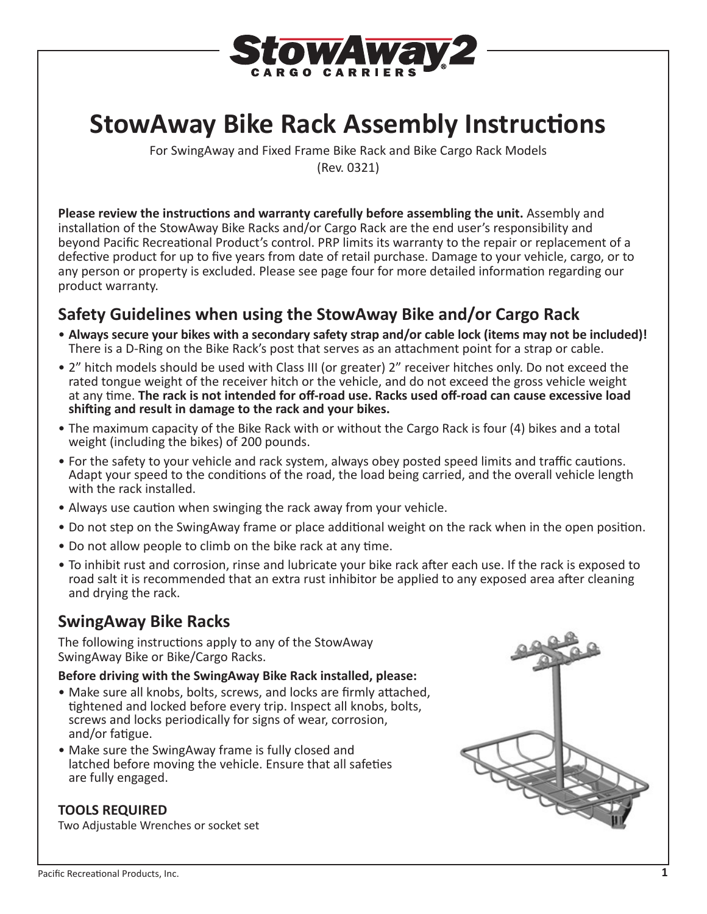

# **StowAway Bike Rack Assembly Instructions**

For SwingAway and Fixed Frame Bike Rack and Bike Cargo Rack Models (Rev. 0321)

**Please review the instructions and warranty carefully before assembling the unit.** Assembly and installation of the StowAway Bike Racks and/or Cargo Rack are the end user's responsibility and beyond Pacific Recreational Product's control. PRP limits its warranty to the repair or replacement of a defective product for up to five years from date of retail purchase. Damage to your vehicle, cargo, or to any person or property is excluded. Please see page four for more detailed information regarding our product warranty.

## **Safety Guidelines when using the StowAway Bike and/or Cargo Rack**

- **Always secure your bikes with a secondary safety strap and/or cable lock (items may not be included)!**  There is a D-Ring on the Bike Rack's post that serves as an attachment point for a strap or cable.
- 2" hitch models should be used with Class III (or greater) 2" receiver hitches only. Do not exceed the rated tongue weight of the receiver hitch or the vehicle, and do not exceed the gross vehicle weight at any time. **The rack is not intended for off-road use. Racks used off-road can cause excessive load shifting and result in damage to the rack and your bikes.**
- The maximum capacity of the Bike Rack with or without the Cargo Rack is four (4) bikes and a total weight (including the bikes) of 200 pounds.
- For the safety to your vehicle and rack system, always obey posted speed limits and traffic cautions. Adapt your speed to the conditions of the road, the load being carried, and the overall vehicle length with the rack installed.
- Always use caution when swinging the rack away from your vehicle.
- Do not step on the SwingAway frame or place additional weight on the rack when in the open position.
- Do not allow people to climb on the bike rack at any time.
- To inhibit rust and corrosion, rinse and lubricate your bike rack after each use. If the rack is exposed to road salt it is recommended that an extra rust inhibitor be applied to any exposed area after cleaning and drying the rack.

# **SwingAway Bike Racks**

The following instructions apply to any of the StowAway SwingAway Bike or Bike/Cargo Racks.

#### **Before driving with the SwingAway Bike Rack installed, please:**

- Make sure all knobs, bolts, screws, and locks are firmly attached, tightened and locked before every trip. Inspect all knobs, bolts, screws and locks periodically for signs of wear, corrosion, and/or fatigue.
- Make sure the SwingAway frame is fully closed and latched before moving the vehicle. Ensure that all safeties are fully engaged.

#### **TOOLS REQUIRED**

Two Adjustable Wrenches or socket set

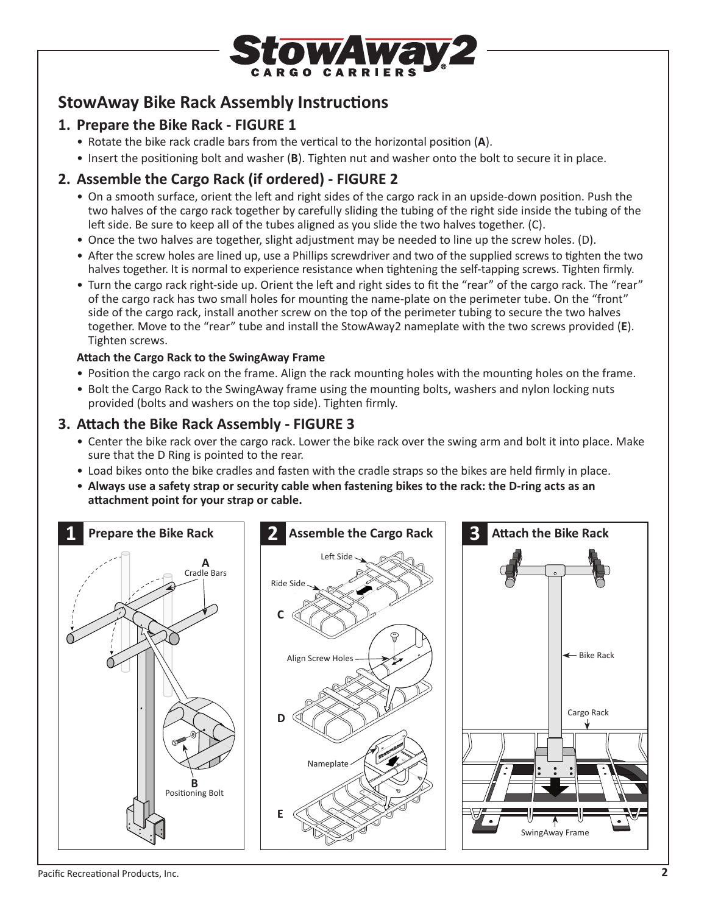

# **StowAway Bike Rack Assembly Instructions**

### **1. Prepare the Bike Rack - FIGURE 1**

- Rotate the bike rack cradle bars from the vertical to the horizontal position (**A**).
- Insert the positioning bolt and washer (**B**). Tighten nut and washer onto the bolt to secure it in place.

### **2. Assemble the Cargo Rack (if ordered) - FIGURE 2**

- On a smooth surface, orient the left and right sides of the cargo rack in an upside-down position. Push the two halves of the cargo rack together by carefully sliding the tubing of the right side inside the tubing of the left side. Be sure to keep all of the tubes aligned as you slide the two halves together. (C).
- Once the two halves are together, slight adjustment may be needed to line up the screw holes. (D).
- After the screw holes are lined up, use a Phillips screwdriver and two of the supplied screws to tighten the two halves together. It is normal to experience resistance when tightening the self-tapping screws. Tighten firmly.
- Turn the cargo rack right-side up. Orient the left and right sides to fit the "rear" of the cargo rack. The "rear" of the cargo rack has two small holes for mounting the name-plate on the perimeter tube. On the "front" side of the cargo rack, install another screw on the top of the perimeter tubing to secure the two halves together. Move to the "rear" tube and install the StowAway2 nameplate with the two screws provided (**E**). Tighten screws.

#### **Attach the Cargo Rack to the SwingAway Frame**

- Position the cargo rack on the frame. Align the rack mounting holes with the mounting holes on the frame.
- Bolt the Cargo Rack to the SwingAway frame using the mounting bolts, washers and nylon locking nuts provided (bolts and washers on the top side). Tighten firmly.

### **3. Attach the Bike Rack Assembly - FIGURE 3**

- Center the bike rack over the cargo rack. Lower the bike rack over the swing arm and bolt it into place. Make sure that the D Ring is pointed to the rear.
- Load bikes onto the bike cradles and fasten with the cradle straps so the bikes are held firmly in place.
- **Always use a safety strap or security cable when fastening bikes to the rack: the D-ring acts as an attachment point for your strap or cable.**

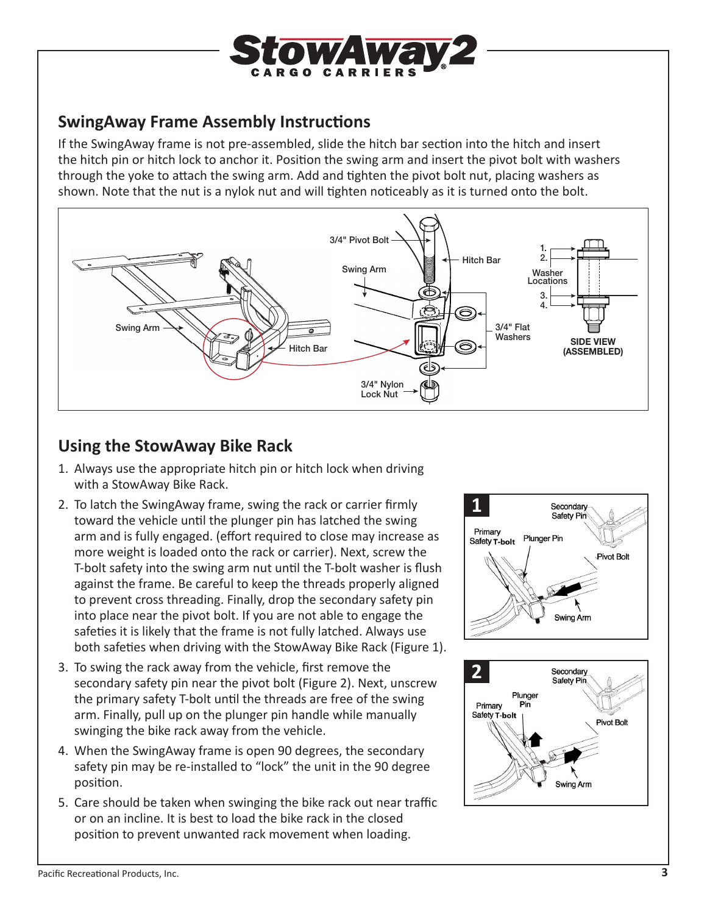

# **SwingAway Frame Assembly Instructions**

If the SwingAway frame is not pre-assembled, slide the hitch bar section into the hitch and insert the hitch pin or hitch lock to anchor it. Position the swing arm and insert the pivot bolt with washers through the yoke to attach the swing arm. Add and tighten the pivot bolt nut, placing washers as shown. Note that the nut is a nylok nut and will tighten noticeably as it is turned onto the bolt.



## **Using the StowAway Bike Rack**

- 1. Always use the appropriate hitch pin or hitch lock when driving with a StowAway Bike Rack.
- 2. To latch the SwingAway frame, swing the rack or carrier firmly toward the vehicle until the plunger pin has latched the swing arm and is fully engaged. (effort required to close may increase as more weight is loaded onto the rack or carrier). Next, screw the T-bolt safety into the swing arm nut until the T-bolt washer is flush against the frame. Be careful to keep the threads properly aligned to prevent cross threading. Finally, drop the secondary safety pin into place near the pivot bolt. If you are not able to engage the safeties it is likely that the frame is not fully latched. Always use both safeties when driving with the StowAway Bike Rack (Figure 1).
- 3. To swing the rack away from the vehicle, first remove the secondary safety pin near the pivot bolt (Figure 2). Next, unscrew the primary safety T-bolt until the threads are free of the swing arm. Finally, pull up on the plunger pin handle while manually swinging the bike rack away from the vehicle.
- 4. When the SwingAway frame is open 90 degrees, the secondary safety pin may be re-installed to "lock" the unit in the 90 degree position.
- 5. Care should be taken when swinging the bike rack out near traffic or on an incline. It is best to load the bike rack in the closed position to prevent unwanted rack movement when loading.